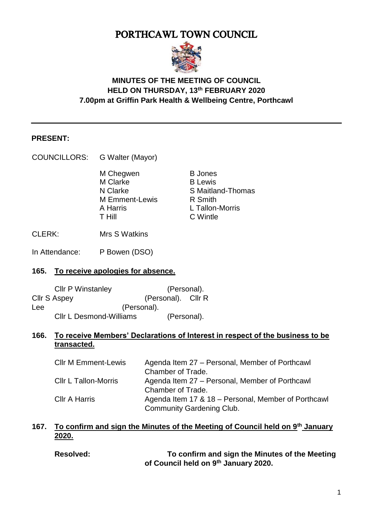# PORTHCAWL TOWN COUNCIL



# **MINUTES OF THE MEETING OF COUNCIL HELD ON THURSDAY, 13th FEBRUARY 2020 7.00pm at Griffin Park Health & Wellbeing Centre, Porthcawl**

#### **PRESENT:**

| <b>COUNCILLORS:</b> | G Walter (Mayor) |
|---------------------|------------------|
|---------------------|------------------|

M Chegwen B Jones M Clarke B Lewis<br>
N Clarke S Maitlau M Emment-Lewis R Smith A Harris L Tallon-Morris T Hill C Wintle

S Maitland-Thomas

CLERK: Mrs S Watkins

In Attendance: P Bowen (DSO)

#### **165. To receive apologies for absence.**

| <b>CIIr P Winstanley</b>       | (Personal).        |  |
|--------------------------------|--------------------|--|
| <b>Cllr S Aspey</b>            | (Personal). Cllr R |  |
| Lee                            | (Personal).        |  |
| <b>CIIr L Desmond-Williams</b> | (Personal).        |  |

# **166. To receive Members' Declarations of Interest in respect of the business to be transacted.**

| <b>CIIr M Emment-Lewis</b> | Agenda Item 27 – Personal, Member of Porthcawl      |
|----------------------------|-----------------------------------------------------|
|                            | Chamber of Trade.                                   |
| Cllr L Tallon-Morris       | Agenda Item 27 – Personal, Member of Porthcawl      |
|                            | Chamber of Trade.                                   |
| <b>CIIr A Harris</b>       | Agenda Item 17 & 18 - Personal, Member of Porthcawl |
|                            | <b>Community Gardening Club.</b>                    |

# **167. To confirm and sign the Minutes of the Meeting of Council held on 9th January 2020.**

**Resolved: To confirm and sign the Minutes of the Meeting of Council held on 9th January 2020.**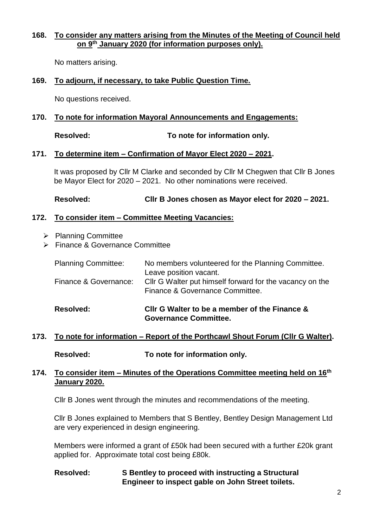#### **168. To consider any matters arising from the Minutes of the Meeting of Council held on 9th January 2020 (for information purposes only).**

No matters arising.

#### **169. To adjourn, if necessary, to take Public Question Time.**

No questions received.

#### **170. To note for information Mayoral Announcements and Engagements:**

**Resolved: To note for information only.** 

#### **171. To determine item – Confirmation of Mayor Elect 2020 – 2021.**

It was proposed by Cllr M Clarke and seconded by Cllr M Chegwen that Cllr B Jones be Mayor Elect for 2020 – 2021. No other nominations were received.

**Resolved: Cllr B Jones chosen as Mayor elect for 2020 – 2021.** 

#### **172. To consider item – Committee Meeting Vacancies:**

- $\triangleright$  Planning Committee
- Finance & Governance Committee

| <b>Resolved:</b>           | CIIr G Walter to be a member of the Finance &                                               |
|----------------------------|---------------------------------------------------------------------------------------------|
| Finance & Governance:      | CIIr G Walter put himself forward for the vacancy on the<br>Finance & Governance Committee. |
| <b>Planning Committee:</b> | No members volunteered for the Planning Committee.<br>Leave position vacant.                |

# **Governance Committee.**

# **173. To note for information – Report of the Porthcawl Shout Forum (Cllr G Walter).**

**Resolved: To note for information only.** 

#### **174. To consider item – Minutes of the Operations Committee meeting held on 16th January 2020.**

Cllr B Jones went through the minutes and recommendations of the meeting.

Cllr B Jones explained to Members that S Bentley, Bentley Design Management Ltd are very experienced in design engineering.

Members were informed a grant of £50k had been secured with a further £20k grant applied for. Approximate total cost being £80k.

# **Resolved: S Bentley to proceed with instructing a Structural Engineer to inspect gable on John Street toilets.**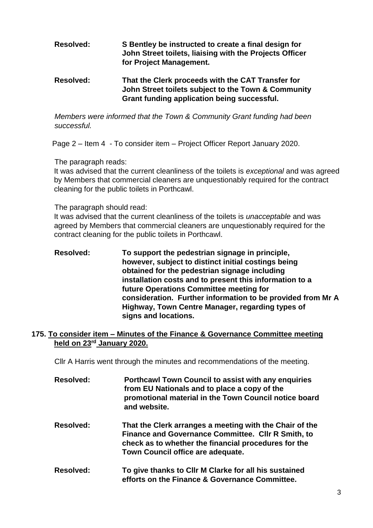# **Resolved: S Bentley be instructed to create a final design for John Street toilets, liaising with the Projects Officer for Project Management.**

#### **Resolved: That the Clerk proceeds with the CAT Transfer for John Street toilets subject to the Town & Community Grant funding application being successful.**

*Members were informed that the Town & Community Grant funding had been successful.* 

Page 2 – Item 4 - To consider item – Project Officer Report January 2020.

The paragraph reads:

It was advised that the current cleanliness of the toilets is *exceptional* and was agreed by Members that commercial cleaners are unquestionably required for the contract cleaning for the public toilets in Porthcawl.

#### The paragraph should read:

It was advised that the current cleanliness of the toilets is *unacceptable* and was agreed by Members that commercial cleaners are unquestionably required for the contract cleaning for the public toilets in Porthcawl.

**Resolved: To support the pedestrian signage in principle, however, subject to distinct initial costings being obtained for the pedestrian signage including installation costs and to present this information to a future Operations Committee meeting for consideration. Further information to be provided from Mr A Highway, Town Centre Manager, regarding types of signs and locations.** 

#### **175. To consider item – Minutes of the Finance & Governance Committee meeting held on 23rd January 2020.**

Cllr A Harris went through the minutes and recommendations of the meeting.

| <b>Resolved:</b> | <b>Porthcawl Town Council to assist with any enquiries</b> |
|------------------|------------------------------------------------------------|
|                  | from EU Nationals and to place a copy of the               |
|                  | promotional material in the Town Council notice board      |
|                  | and website.                                               |
|                  |                                                            |

- **Resolved: That the Clerk arranges a meeting with the Chair of the Finance and Governance Committee. Cllr R Smith, to check as to whether the financial procedures for the Town Council office are adequate.**
- **Resolved: To give thanks to Cllr M Clarke for all his sustained efforts on the Finance & Governance Committee.**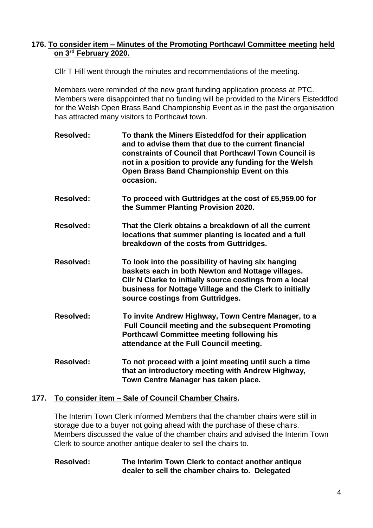# **176. To consider item – Minutes of the Promoting Porthcawl Committee meeting held on 3rd February 2020.**

Cllr T Hill went through the minutes and recommendations of the meeting.

Members were reminded of the new grant funding application process at PTC. Members were disappointed that no funding will be provided to the Miners Eisteddfod for the Welsh Open Brass Band Championship Event as in the past the organisation has attracted many visitors to Porthcawl town.

- **Resolved: To thank the Miners Eisteddfod for their application and to advise them that due to the current financial constraints of Council that Porthcawl Town Council is not in a position to provide any funding for the Welsh Open Brass Band Championship Event on this occasion.**
- **Resolved: To proceed with Guttridges at the cost of £5,959.00 for the Summer Planting Provision 2020.**
- **Resolved: That the Clerk obtains a breakdown of all the current locations that summer planting is located and a full breakdown of the costs from Guttridges.**
- **Resolved: To look into the possibility of having six hanging baskets each in both Newton and Nottage villages. Cllr N Clarke to initially source costings from a local business for Nottage Village and the Clerk to initially source costings from Guttridges.**
- **Resolved: To invite Andrew Highway, Town Centre Manager, to a Full Council meeting and the subsequent Promoting Porthcawl Committee meeting following his attendance at the Full Council meeting.**
- **Resolved: To not proceed with a joint meeting until such a time that an introductory meeting with Andrew Highway, Town Centre Manager has taken place.**

# **177. To consider item – Sale of Council Chamber Chairs.**

The Interim Town Clerk informed Members that the chamber chairs were still in storage due to a buyer not going ahead with the purchase of these chairs. Members discussed the value of the chamber chairs and advised the Interim Town Clerk to source another antique dealer to sell the chairs to.

#### **Resolved: The Interim Town Clerk to contact another antique dealer to sell the chamber chairs to. Delegated**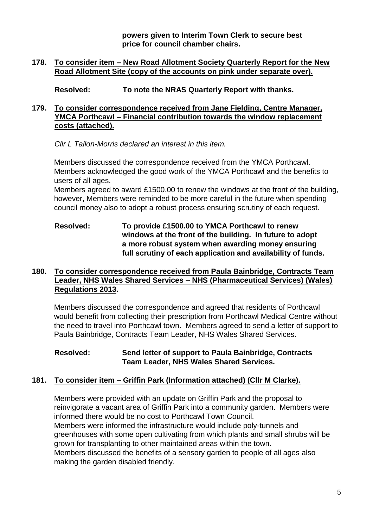**powers given to Interim Town Clerk to secure best price for council chamber chairs.** 

# **178. To consider item – New Road Allotment Society Quarterly Report for the New Road Allotment Site (copy of the accounts on pink under separate over).**

**Resolved: To note the NRAS Quarterly Report with thanks.** 

# **179. To consider correspondence received from Jane Fielding, Centre Manager, YMCA Porthcawl – Financial contribution towards the window replacement costs (attached).**

*Cllr L Tallon-Morris declared an interest in this item.*

Members discussed the correspondence received from the YMCA Porthcawl. Members acknowledged the good work of the YMCA Porthcawl and the benefits to users of all ages.

Members agreed to award £1500.00 to renew the windows at the front of the building, however, Members were reminded to be more careful in the future when spending council money also to adopt a robust process ensuring scrutiny of each request.

# **Resolved: To provide £1500.00 to YMCA Porthcawl to renew windows at the front of the building. In future to adopt a more robust system when awarding money ensuring full scrutiny of each application and availability of funds.**

# **180. To consider correspondence received from Paula Bainbridge, Contracts Team Leader, NHS Wales Shared Services – NHS (Pharmaceutical Services) (Wales) Regulations 2013.**

Members discussed the correspondence and agreed that residents of Porthcawl would benefit from collecting their prescription from Porthcawl Medical Centre without the need to travel into Porthcawl town. Members agreed to send a letter of support to Paula Bainbridge, Contracts Team Leader, NHS Wales Shared Services.

#### **Resolved: Send letter of support to Paula Bainbridge, Contracts Team Leader, NHS Wales Shared Services.**

# **181. To consider item – Griffin Park (Information attached) (Cllr M Clarke).**

Members were provided with an update on Griffin Park and the proposal to reinvigorate a vacant area of Griffin Park into a community garden. Members were informed there would be no cost to Porthcawl Town Council. Members were informed the infrastructure would include poly-tunnels and greenhouses with some open cultivating from which plants and small shrubs will be grown for transplanting to other maintained areas within the town. Members discussed the benefits of a sensory garden to people of all ages also making the garden disabled friendly.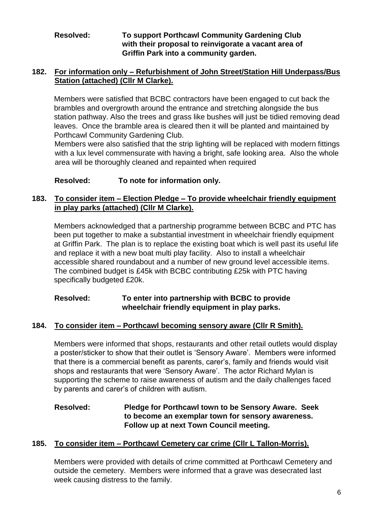# **Resolved: To support Porthcawl Community Gardening Club with their proposal to reinvigorate a vacant area of Griffin Park into a community garden.**

# **182. For information only – Refurbishment of John Street/Station Hill Underpass/Bus Station (attached) (Cllr M Clarke).**

Members were satisfied that BCBC contractors have been engaged to cut back the brambles and overgrowth around the entrance and stretching alongside the bus station pathway. Also the trees and grass like bushes will just be tidied removing dead leaves. Once the bramble area is cleared then it will be planted and maintained by Porthcawl Community Gardening Club.

Members were also satisfied that the strip lighting will be replaced with modern fittings with a lux level commensurate with having a bright, safe looking area. Also the whole area will be thoroughly cleaned and repainted when required

# **Resolved: To note for information only.**

# **183. To consider item – Election Pledge – To provide wheelchair friendly equipment in play parks (attached) (Cllr M Clarke).**

Members acknowledged that a partnership programme between BCBC and PTC has been put together to make a substantial investment in wheelchair friendly equipment at Griffin Park. The plan is to replace the existing boat which is well past its useful life and replace it with a new boat multi play facility. Also to install a wheelchair accessible shared roundabout and a number of new ground level accessible items. The combined budget is £45k with BCBC contributing £25k with PTC having specifically budgeted £20k.

# **Resolved: To enter into partnership with BCBC to provide wheelchair friendly equipment in play parks.**

# **184. To consider item – Porthcawl becoming sensory aware (Cllr R Smith).**

Members were informed that shops, restaurants and other retail outlets would display a poster/sticker to show that their outlet is 'Sensory Aware'. Members were informed that there is a commercial benefit as parents, carer's, family and friends would visit shops and restaurants that were 'Sensory Aware'. The actor Richard Mylan is supporting the scheme to raise awareness of autism and the daily challenges faced by parents and carer's of children with autism.

# **Resolved: Pledge for Porthcawl town to be Sensory Aware. Seek to become an exemplar town for sensory awareness. Follow up at next Town Council meeting.**

# **185. To consider item – Porthcawl Cemetery car crime (Cllr L Tallon-Morris).**

Members were provided with details of crime committed at Porthcawl Cemetery and outside the cemetery. Members were informed that a grave was desecrated last week causing distress to the family.